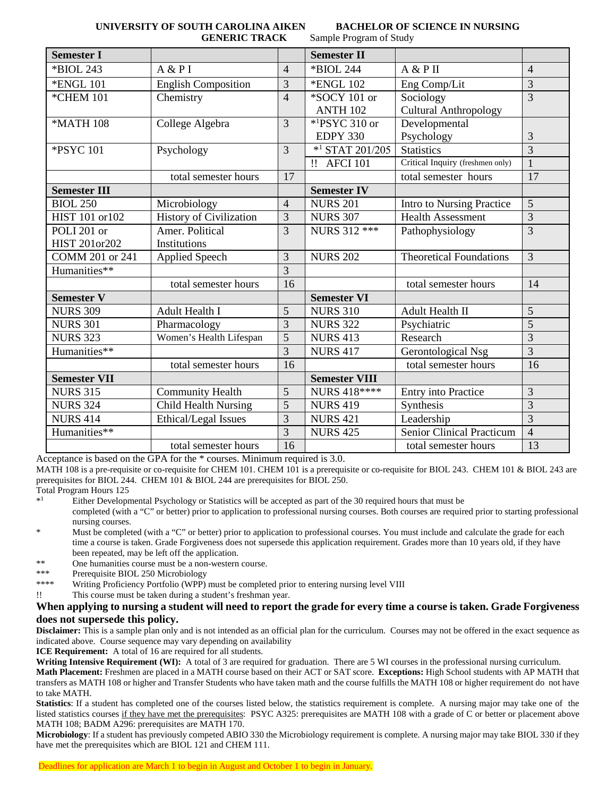**GENERIC TRACK** Sample Program of Study

**UNIVERSITY OF SOUTH CAROLINA AIKEN BACHELOR OF SCIENCE IN NURSING**

| <b>Semester I</b>   |                                |                | <b>Semester II</b>              |                                  |                |
|---------------------|--------------------------------|----------------|---------------------------------|----------------------------------|----------------|
| *BIOL 243           | A & P I                        | $\overline{4}$ | *BIOL 244                       | A & P II                         | $\overline{4}$ |
| <b>*ENGL 101</b>    | <b>English Composition</b>     | 3              | <b>*ENGL 102</b>                | Eng Comp/Lit                     | 3              |
| <b>*CHEM 101</b>    | Chemistry                      | $\overline{4}$ | *SOCY 101 or                    | Sociology                        | $\overline{3}$ |
|                     |                                |                | ANTH 102                        | <b>Cultural Anthropology</b>     |                |
| *MATH 108           | College Algebra                | 3              | $*$ <sup>1</sup> PSYC 310 or    | Developmental                    |                |
|                     |                                |                | <b>EDPY 330</b>                 | Psychology                       | 3              |
| *PSYC 101           | Psychology                     | 3              | $*$ <sup>1</sup> STAT 201/205   | <b>Statistics</b>                | $\overline{3}$ |
|                     |                                |                | $\mathbf{H}$<br><b>AFCI 101</b> | Critical Inquiry (freshmen only) | $\mathbf{1}$   |
|                     | total semester hours           | 17             |                                 | total semester hours             | 17             |
| <b>Semester III</b> |                                |                | <b>Semester IV</b>              |                                  |                |
| <b>BIOL 250</b>     | Microbiology                   | $\overline{4}$ | <b>NURS 201</b>                 | Intro to Nursing Practice        | 5              |
| HIST 101 or 102     | <b>History of Civilization</b> | 3              | <b>NURS 307</b>                 | <b>Health Assessment</b>         | 3              |
| POLI 201 or         | Amer. Political                | 3              | NURS 312 ***                    | Pathophysiology                  | $\overline{3}$ |
| HIST 201or202       | Institutions                   |                |                                 |                                  |                |
| COMM 201 or 241     | <b>Applied Speech</b>          | 3              | <b>NURS 202</b>                 | <b>Theoretical Foundations</b>   | 3              |
| Humanities**        |                                | 3              |                                 |                                  |                |
|                     | total semester hours           | 16             |                                 | total semester hours             | 14             |
| <b>Semester V</b>   |                                |                | <b>Semester VI</b>              |                                  |                |
| <b>NURS 309</b>     | Adult Health I                 | 5              | <b>NURS 310</b>                 | Adult Health II                  | 5              |
| <b>NURS 301</b>     | Pharmacology                   | 3              | <b>NURS 322</b>                 | Psychiatric                      | $\overline{5}$ |
| <b>NURS 323</b>     | Women's Health Lifespan        | $\overline{5}$ | <b>NURS 413</b>                 | Research                         | $\overline{3}$ |
| Humanities**        |                                | 3              | <b>NURS 417</b>                 | Gerontological Nsg               | 3              |
|                     | total semester hours           | 16             |                                 | total semester hours             | 16             |
| <b>Semester VII</b> |                                |                | <b>Semester VIII</b>            |                                  |                |
| <b>NURS 315</b>     | <b>Community Health</b>        | 5              | NURS 418 ****                   | Entry into Practice              | 3              |
| <b>NURS 324</b>     | Child Health Nursing           | $\overline{5}$ | <b>NURS 419</b>                 | Synthesis                        | $\overline{3}$ |
| <b>NURS 414</b>     | Ethical/Legal Issues           | 3              | <b>NURS 421</b>                 | Leadership                       | $\overline{3}$ |
| Humanities**        |                                | $\overline{3}$ | <b>NURS 425</b>                 | <b>Senior Clinical Practicum</b> | $\overline{4}$ |
|                     | total semester hours           | 16             |                                 | total semester hours             | 13             |

Acceptance is based on the GPA for the \* courses. Minimum required is 3.0.

MATH 108 is a pre-requisite or co-requisite for CHEM 101. CHEM 101 is a prerequisite or co-requisite for BIOL 243. CHEM 101 & BIOL 243 are prerequisites for BIOL 244. CHEM 101 & BIOL 244 are prerequisites for BIOL 250.

Total Program Hours 125<br>\*<sup>1</sup><br>Fither Developre

\*1 Either Developmental Psychology or Statistics will be accepted as part of the 30 required hours that must be

completed (with a "C" or better) prior to application to professional nursing courses. Both courses are required prior to starting professional nursing courses.

- \* Must be completed (with a "C" or better) prior to application to professional courses. You must include and calculate the grade for each time a course is taken. Grade Forgiveness does not supersede this application requirement. Grades more than 10 years old, if they have been repeated, may be left off the application.
- \*\* One humanities course must be a non-western course.
- \*\*\* Prerequisite BIOL 250 Microbiology
- \*\*\*\* Writing Proficiency Portfolio (WPP) must be completed prior to entering nursing level VIII
- !! This course must be taken during a student's freshman year.

## **When applying to nursing a student will need to report the grade for every time a course is taken. Grade Forgiveness does not supersede this policy.**

**Disclaimer:** This is a sample plan only and is not intended as an official plan for the curriculum. Courses may not be offered in the exact sequence as indicated above. Course sequence may vary depending on availability

**ICE Requirement:** A total of 16 are required for all students.

Writing Intensive Requirement (WI): A total of 3 are required for graduation. There are 5 WI courses in the professional nursing curriculum. **Math Placement:** Freshmen are placed in a MATH course based on their ACT or SAT score. **Exceptions:** High School students with AP MATH that transfers as MATH 108 or higher and Transfer Students who have taken math and the course fulfills the MATH 108 or higher requirement do not have to take MATH.

**Statistics**: If a student has completed one of the courses listed below, the statistics requirement is complete. A nursing major may take one of the listed statistics courses if they have met the prerequisites: PSYC A325: prerequisites are MATH 108 with a grade of C or better or placement above MATH 108; BADM A296: prerequisites are MATH 170.

**Microbiology**: If a student has previously competed ABIO 330 the Microbiology requirement is complete. A nursing major may take BIOL 330 if they have met the prerequisites which are BIOL 121 and CHEM 111.